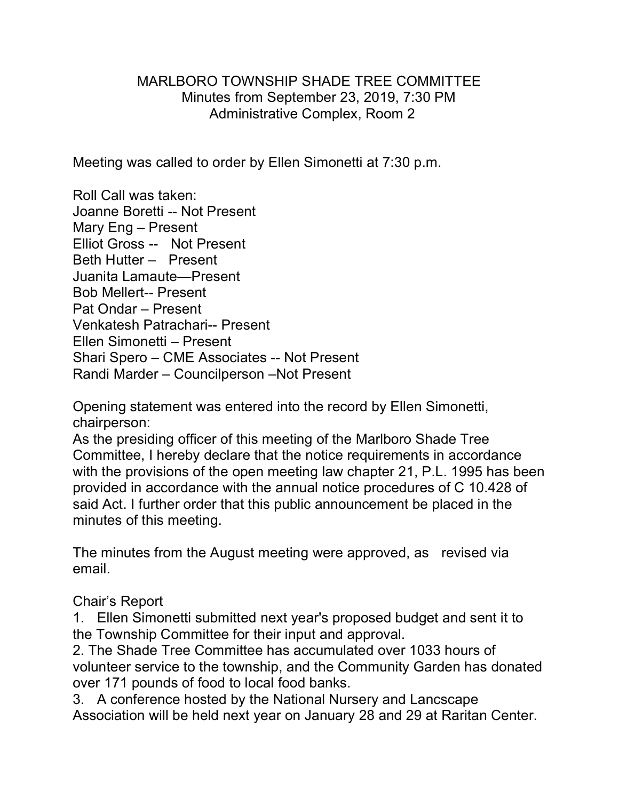## MARLBORO TOWNSHIP SHADE TREE COMMITTEE Minutes from September 23, 2019, 7:30 PM Administrative Complex, Room 2

Meeting was called to order by Ellen Simonetti at 7:30 p.m.

Roll Call was taken: Joanne Boretti -- Not Present Mary Eng – Present Elliot Gross -- Not Present Beth Hutter – Present Juanita Lamaute—Present Bob Mellert-- Present Pat Ondar – Present Venkatesh Patrachari-- Present Ellen Simonetti – Present Shari Spero – CME Associates -- Not Present Randi Marder – Councilperson –Not Present

Opening statement was entered into the record by Ellen Simonetti, chairperson:

As the presiding officer of this meeting of the Marlboro Shade Tree Committee, I hereby declare that the notice requirements in accordance with the provisions of the open meeting law chapter 21, P.L. 1995 has been provided in accordance with the annual notice procedures of C 10.428 of said Act. I further order that this public announcement be placed in the minutes of this meeting.

The minutes from the August meeting were approved, as revised via email.

## Chair's Report

1. Ellen Simonetti submitted next year's proposed budget and sent it to the Township Committee for their input and approval.

2. The Shade Tree Committee has accumulated over 1033 hours of volunteer service to the township, and the Community Garden has donated over 171 pounds of food to local food banks.

3. A conference hosted by the National Nursery and Lancscape Association will be held next year on January 28 and 29 at Raritan Center.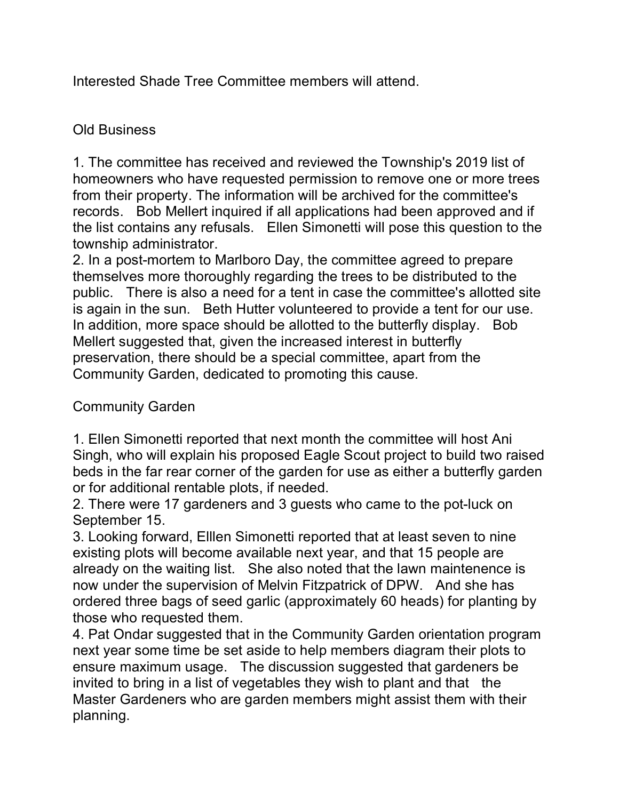Interested Shade Tree Committee members will attend.

## Old Business

1. The committee has received and reviewed the Township's 2019 list of homeowners who have requested permission to remove one or more trees from their property. The information will be archived for the committee's records. Bob Mellert inquired if all applications had been approved and if the list contains any refusals. Ellen Simonetti will pose this question to the township administrator.

2. In a post-mortem to Marlboro Day, the committee agreed to prepare themselves more thoroughly regarding the trees to be distributed to the public. There is also a need for a tent in case the committee's allotted site is again in the sun. Beth Hutter volunteered to provide a tent for our use. In addition, more space should be allotted to the butterfly display. Bob Mellert suggested that, given the increased interest in butterfly preservation, there should be a special committee, apart from the Community Garden, dedicated to promoting this cause.

Community Garden

1. Ellen Simonetti reported that next month the committee will host Ani Singh, who will explain his proposed Eagle Scout project to build two raised beds in the far rear corner of the garden for use as either a butterfly garden or for additional rentable plots, if needed.

2. There were 17 gardeners and 3 guests who came to the pot-luck on September 15.

3. Looking forward, Elllen Simonetti reported that at least seven to nine existing plots will become available next year, and that 15 people are already on the waiting list. She also noted that the lawn maintenence is now under the supervision of Melvin Fitzpatrick of DPW. And she has ordered three bags of seed garlic (approximately 60 heads) for planting by those who requested them.

4. Pat Ondar suggested that in the Community Garden orientation program next year some time be set aside to help members diagram their plots to ensure maximum usage. The discussion suggested that gardeners be invited to bring in a list of vegetables they wish to plant and that the Master Gardeners who are garden members might assist them with their planning.